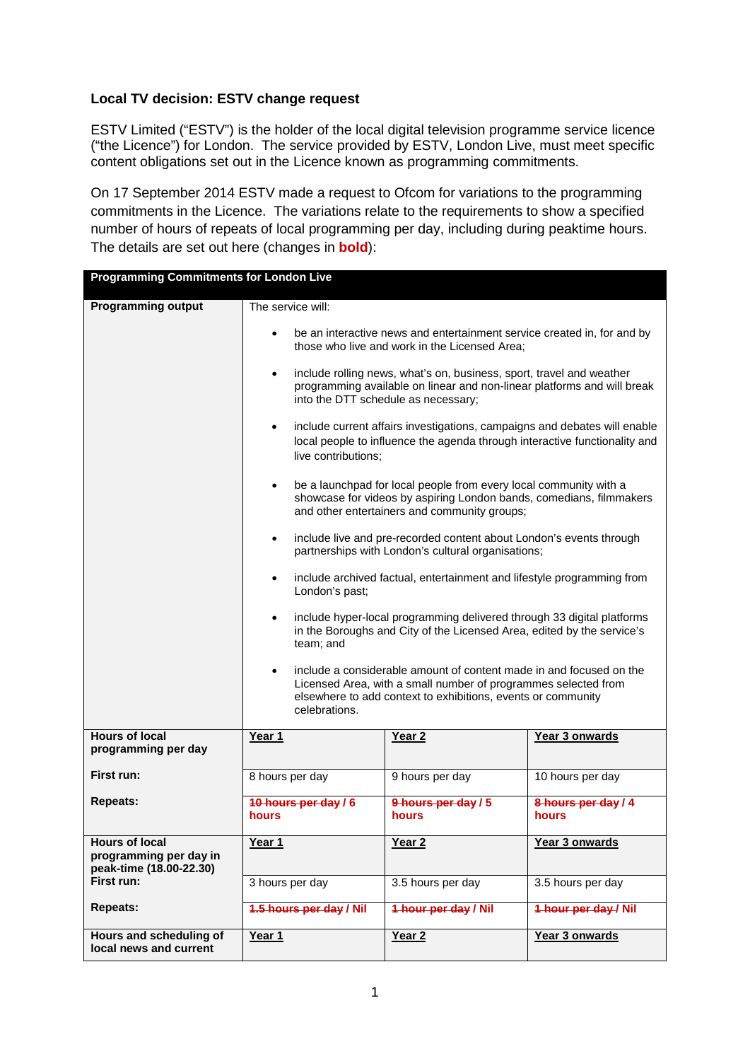## **Local TV decision: ESTV change request**

ESTV Limited ("ESTV") is the holder of the local digital television programme service licence ("the Licence") for London. The service provided by ESTV, London Live, must meet specific content obligations set out in the Licence known as programming commitments.

On 17 September 2014 ESTV made a request to Ofcom for variations to the programming commitments in the Licence. The variations relate to the requirements to show a specified number of hours of repeats of local programming per day, including during peaktime hours. The details are set out here (changes in **bold**):

| <b>Programming Commitments for London Live</b>                                           |                                                                                                                                                                                                                                                                                                                                                                                                      |                                                                                                                                                                                        |                              |  |  |
|------------------------------------------------------------------------------------------|------------------------------------------------------------------------------------------------------------------------------------------------------------------------------------------------------------------------------------------------------------------------------------------------------------------------------------------------------------------------------------------------------|----------------------------------------------------------------------------------------------------------------------------------------------------------------------------------------|------------------------------|--|--|
| <b>Programming output</b>                                                                | The service will:                                                                                                                                                                                                                                                                                                                                                                                    |                                                                                                                                                                                        |                              |  |  |
|                                                                                          | $\bullet$                                                                                                                                                                                                                                                                                                                                                                                            | be an interactive news and entertainment service created in, for and by<br>those who live and work in the Licensed Area;                                                               |                              |  |  |
|                                                                                          | $\bullet$                                                                                                                                                                                                                                                                                                                                                                                            | include rolling news, what's on, business, sport, travel and weather<br>programming available on linear and non-linear platforms and will break<br>into the DTT schedule as necessary; |                              |  |  |
|                                                                                          | include current affairs investigations, campaigns and debates will enable<br>$\bullet$<br>local people to influence the agenda through interactive functionality and<br>live contributions;<br>be a launchpad for local people from every local community with a<br>$\bullet$<br>showcase for videos by aspiring London bands, comedians, filmmakers<br>and other entertainers and community groups; |                                                                                                                                                                                        |                              |  |  |
|                                                                                          |                                                                                                                                                                                                                                                                                                                                                                                                      |                                                                                                                                                                                        |                              |  |  |
|                                                                                          | $\bullet$                                                                                                                                                                                                                                                                                                                                                                                            | include live and pre-recorded content about London's events through<br>partnerships with London's cultural organisations;                                                              |                              |  |  |
|                                                                                          | include archived factual, entertainment and lifestyle programming from<br>$\bullet$<br>London's past;<br>include hyper-local programming delivered through 33 digital platforms<br>$\bullet$<br>in the Boroughs and City of the Licensed Area, edited by the service's<br>team; and                                                                                                                  |                                                                                                                                                                                        |                              |  |  |
|                                                                                          |                                                                                                                                                                                                                                                                                                                                                                                                      |                                                                                                                                                                                        |                              |  |  |
|                                                                                          | include a considerable amount of content made in and focused on the<br>$\bullet$<br>Licensed Area, with a small number of programmes selected from<br>elsewhere to add context to exhibitions, events or community<br>celebrations.                                                                                                                                                                  |                                                                                                                                                                                        |                              |  |  |
| <b>Hours of local</b>                                                                    | Year 1                                                                                                                                                                                                                                                                                                                                                                                               | Year <sub>2</sub>                                                                                                                                                                      | Year 3 onwards               |  |  |
| programming per day                                                                      |                                                                                                                                                                                                                                                                                                                                                                                                      |                                                                                                                                                                                        |                              |  |  |
| First run:                                                                               | 8 hours per day                                                                                                                                                                                                                                                                                                                                                                                      | 9 hours per day                                                                                                                                                                        | 10 hours per day             |  |  |
| <b>Repeats:</b>                                                                          | 10 hours per day / 6<br>hours                                                                                                                                                                                                                                                                                                                                                                        | 9 hours per day / 5<br>hours                                                                                                                                                           | 8 hours per day / 4<br>hours |  |  |
| <b>Hours of local</b><br>programming per day in<br>peak-time (18.00-22.30)<br>First run: | Year 1                                                                                                                                                                                                                                                                                                                                                                                               | Year <sub>2</sub>                                                                                                                                                                      | Year 3 onwards               |  |  |
|                                                                                          | 3 hours per day                                                                                                                                                                                                                                                                                                                                                                                      | 3.5 hours per day                                                                                                                                                                      | 3.5 hours per day            |  |  |
| <b>Repeats:</b>                                                                          | <b>4.5 hours per day / Nil</b>                                                                                                                                                                                                                                                                                                                                                                       | 4 hour per day / Nil                                                                                                                                                                   | 4 hour per day / Nil         |  |  |
| Hours and scheduling of<br>local news and current                                        | Year 1                                                                                                                                                                                                                                                                                                                                                                                               | Year <sub>2</sub>                                                                                                                                                                      | Year 3 onwards               |  |  |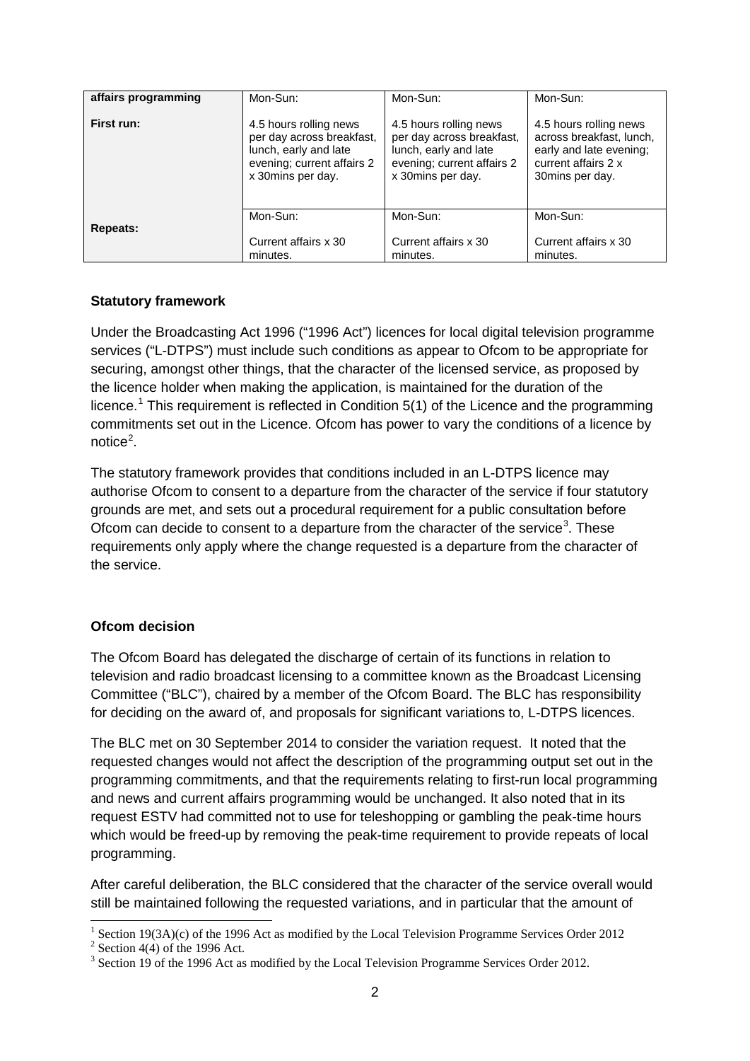| affairs programming | Mon-Sun:                   | Mon-Sun:                   | Mon-Sun:                 |
|---------------------|----------------------------|----------------------------|--------------------------|
| First run:          | 4.5 hours rolling news     | 4.5 hours rolling news     | 4.5 hours rolling news   |
|                     | per day across breakfast,  | per day across breakfast,  | across breakfast, lunch, |
|                     | lunch, early and late      | lunch, early and late      | early and late evening;  |
|                     | evening; current affairs 2 | evening; current affairs 2 | current affairs 2 x      |
|                     | x 30 mins per day.         | x 30 mins per day.         | 30 mins per day.         |
| <b>Repeats:</b>     | Mon-Sun:                   | Mon-Sun:                   | Mon-Sun:                 |
|                     | Current affairs x 30       | Current affairs x 30       | Current affairs x 30     |
|                     | minutes.                   | minutes.                   | minutes.                 |

## **Statutory framework**

Under the Broadcasting Act 1996 ("1996 Act") licences for local digital television programme services ("L-DTPS") must include such conditions as appear to Ofcom to be appropriate for securing, amongst other things, that the character of the licensed service, as proposed by the licence holder when making the application, is maintained for the duration of the licence.<sup>[1](#page-1-0)</sup> This requirement is reflected in Condition  $5(1)$  of the Licence and the programming commitments set out in the Licence. Ofcom has power to vary the conditions of a licence by notice<sup>[2](#page-1-1)</sup>.

The statutory framework provides that conditions included in an L-DTPS licence may authorise Ofcom to consent to a departure from the character of the service if four statutory grounds are met, and sets out a procedural requirement for a public consultation before Ofcom can decide to consent to a departure from the character of the service<sup>[3](#page-1-2)</sup>. These requirements only apply where the change requested is a departure from the character of the service.

## **Ofcom decision**

The Ofcom Board has delegated the discharge of certain of its functions in relation to television and radio broadcast licensing to a committee known as the Broadcast Licensing Committee ("BLC"), chaired by a member of the Ofcom Board. The BLC has responsibility for deciding on the award of, and proposals for significant variations to, L-DTPS licences.

The BLC met on 30 September 2014 to consider the variation request. It noted that the requested changes would not affect the description of the programming output set out in the programming commitments, and that the requirements relating to first-run local programming and news and current affairs programming would be unchanged. It also noted that in its request ESTV had committed not to use for teleshopping or gambling the peak-time hours which would be freed-up by removing the peak-time requirement to provide repeats of local programming.

After careful deliberation, the BLC considered that the character of the service overall would still be maintained following the requested variations, and in particular that the amount of

<sup>&</sup>lt;sup>1</sup> Section 19(3A)(c) of the 1996 Act as modified by the Local Television Programme Services Order 2012 -

<span id="page-1-1"></span><span id="page-1-0"></span> $2$  Section 4(4) of the 1996 Act.

<span id="page-1-2"></span><sup>&</sup>lt;sup>3</sup> Section 19 of the 1996 Act as modified by the Local Television Programme Services Order 2012.